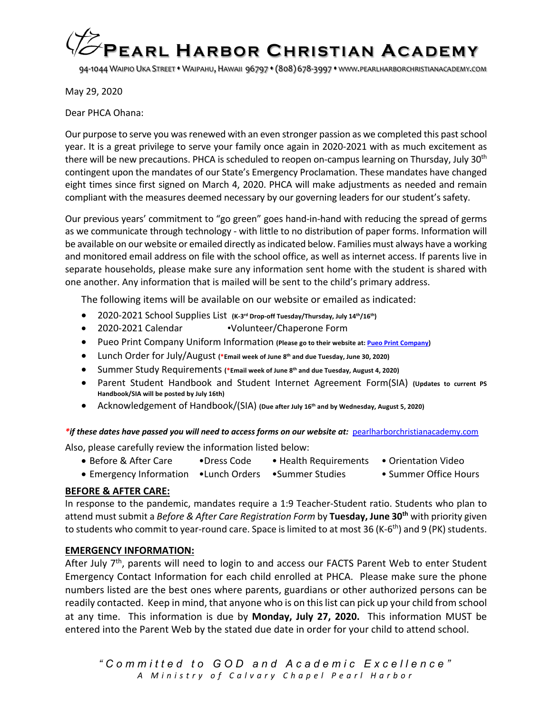

94-1044 WAIPIO UKA STREET • WAIPAHU, HAWAII 96797 • (808) 678-3997 • WWW.PEARLHARBORCHRISTIANACADEMY.COM

May 29, 2020

Dear PHCA Ohana:

Our purpose to serve you was renewed with an even stronger passion as we completed this past school year. It is a great privilege to serve your family once again in 2020-2021 with as much excitement as there will be new precautions. PHCA is scheduled to reopen on-campus learning on Thursday, July 30<sup>th</sup> contingent upon the mandates of our State's Emergency Proclamation. These mandates have changed eight times since first signed on March 4, 2020. PHCA will make adjustments as needed and remain compliant with the measures deemed necessary by our governing leaders for our student's safety.

Our previous years' commitment to "go green" goes hand-in-hand with reducing the spread of germs as we communicate through technology - with little to no distribution of paper forms. Information will be available on our website or emailed directly asindicated below. Families must always have a working and monitored email address on file with the school office, as well as internet access. If parents live in separate households, please make sure any information sent home with the student is shared with one another. Any information that is mailed will be sent to the child's primary address.

The following items will be available on our website or emailed as indicated:

- 2020-2021 School Supplies List **(K-3rd Drop-off Tuesday/Thursday, July 14th/16th)**
- 2020-2021 Calendar •Volunteer/Chaperone Form
- Pueo Print Company Uniform Information (Please go to their website at: Pueo Print Company)
- Lunch Order for July/August **(\*Email week of June 8th and due Tuesday, June 30, 2020)**
- Summer Study Requirements **(\*Email week of June 8th and due Tuesday, August 4, 2020)**
- Parent Student Handbook and Student Internet Agreement Form(SIA) **(Updates to current PS Handbook/SIA will be posted by July 16th)**
- Acknowledgement of Handbook/(SIA) **(Due after July 16th and by Wednesday, August 5, 2020)**

*\*if these dates have passed you will need to access forms on our website at:* pearlharborchristianacademy.com

Also, please carefully review the information listed below:

- Before & After Care • Press Code Health Requirements Orientation Video
	-
- 
- Emergency Information •Lunch Orders •Summer Studies Summer Office Hours

### **BEFORE & AFTER CARE:**

In response to the pandemic, mandates require a 1:9 Teacher-Student ratio. Students who plan to attend must submit a *Before & After Care Registration Form* by **Tuesday, June 30th** with priority given to students who commit to year-round care. Space is limited to at most 36 (K-6<sup>th</sup>) and 9 (PK) students.

### **EMERGENCY INFORMATION:**

After July 7<sup>th</sup>, parents will need to login to and access our FACTS Parent Web to enter Student Emergency Contact Information for each child enrolled at PHCA. Please make sure the phone numbers listed are the best ones where parents, guardians or other authorized persons can be readily contacted. Keep in mind, that anyone who is on this list can pick up your child from school at any time. This information is due by **Monday, July 27, 2020.** This information MUST be entered into the Parent Web by the stated due date in order for your child to attend school.

*"Committed to GOD and Academic Excellence" A Ministry of Calvary Chapel Pearl Harbor*